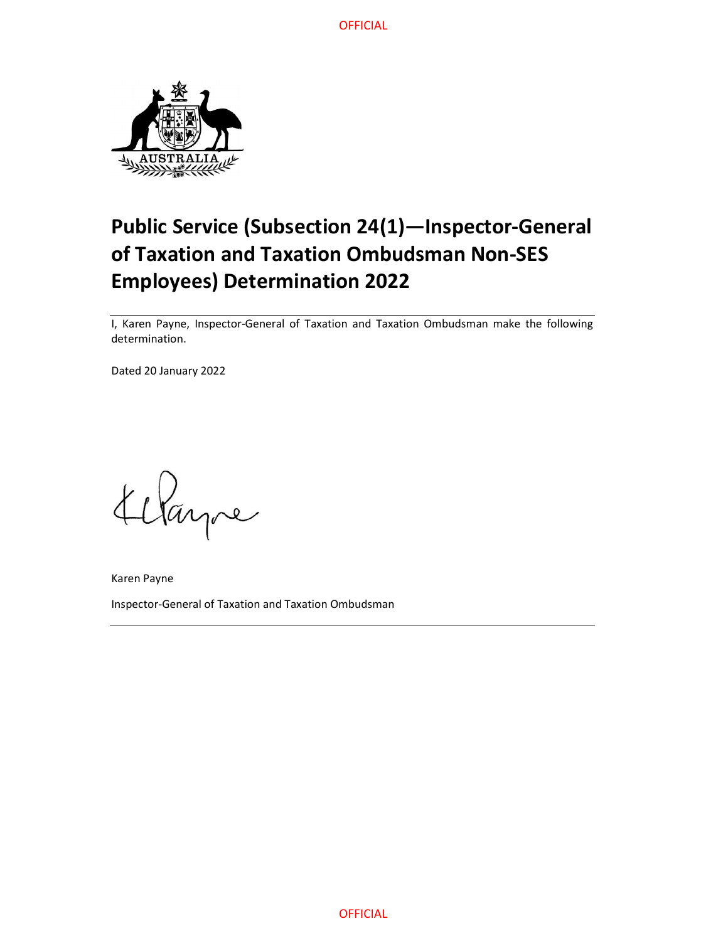

# Public Service (Subsection 24(1)—Inspector-General of Taxation and Taxation Ombudsman Non-SES Employees) Determination 2022

I, Karen Payne, Inspector-General of Taxation and Taxation Ombudsman make the following determination.

Dated 20 January 2022

Klayne

Karen Payne Inspector-General of Taxation and Taxation Ombudsman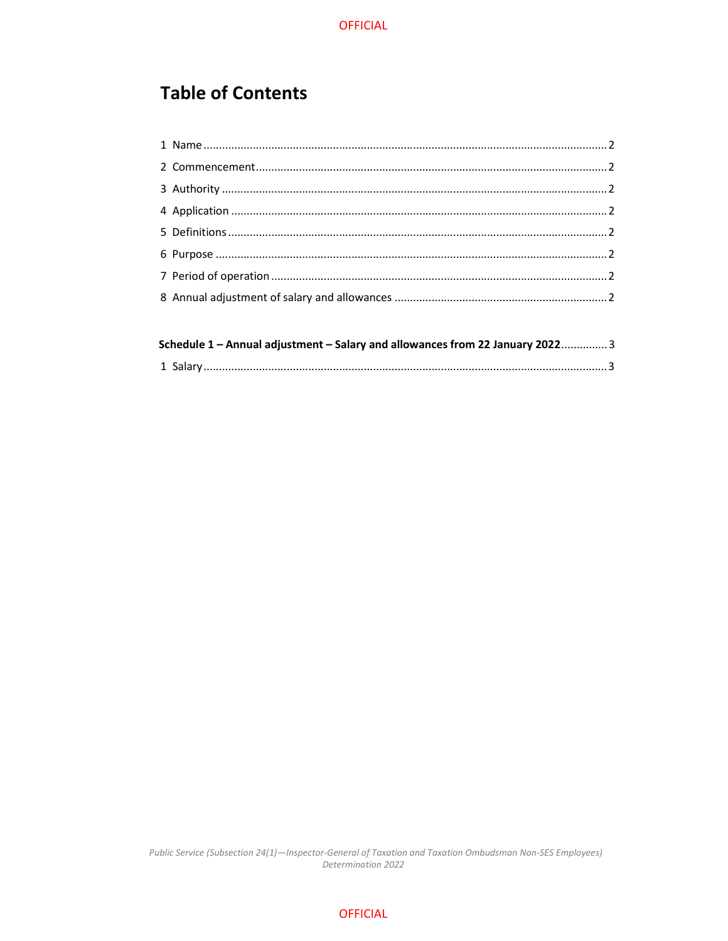# **Table of Contents**

| Schedule 1 - Annual adjustment - Salary and allowances from 22 January 2022 3 |  |
|-------------------------------------------------------------------------------|--|
|                                                                               |  |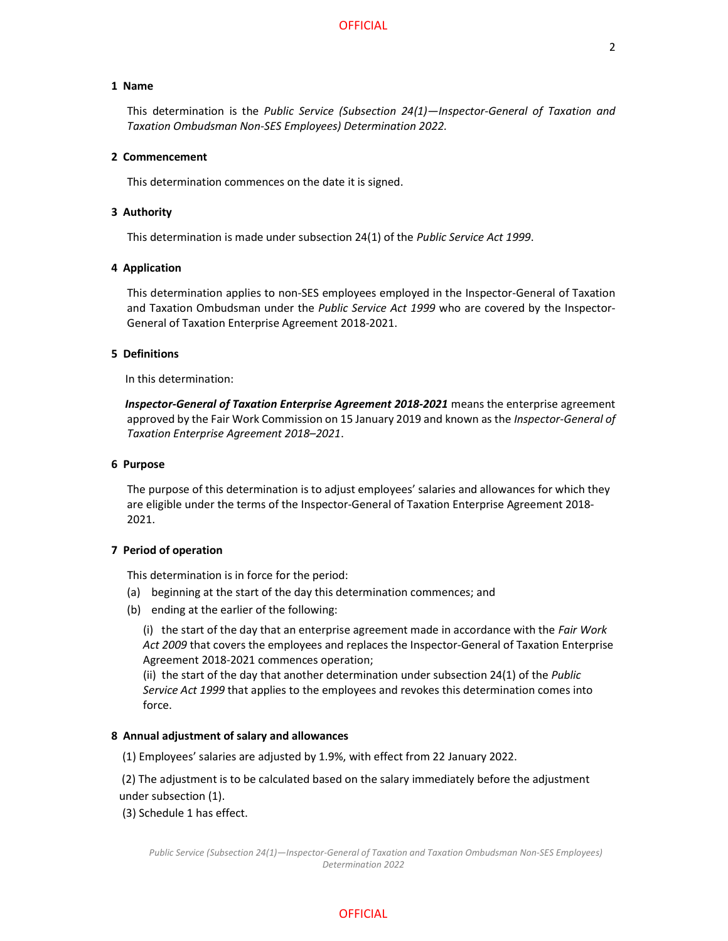### 1 Name

 This determination is the Public Service (Subsection 24(1)—Inspector-General of Taxation and Taxation Ombudsman Non-SES Employees) Determination 2022.

#### 2 Commencement

This determination commences on the date it is signed.

#### 3 Authority

This determination is made under subsection 24(1) of the Public Service Act 1999.

#### 4 Application

 This determination applies to non-SES employees employed in the Inspector-General of Taxation and Taxation Ombudsman under the Public Service Act 1999 who are covered by the Inspector-General of Taxation Enterprise Agreement 2018-2021.

### 5 Definitions

In this determination:

Inspector-General of Taxation Enterprise Agreement 2018-2021 means the enterprise agreement approved by the Fair Work Commission on 15 January 2019 and known as the Inspector-General of Taxation Enterprise Agreement 2018–2021.

#### 6 Purpose

 The purpose of this determination is to adjust employees' salaries and allowances for which they are eligible under the terms of the Inspector-General of Taxation Enterprise Agreement 2018- 2021.

### 7 Period of operation

This determination is in force for the period:

- (a) beginning at the start of the day this determination commences; and
- (b) ending at the earlier of the following:

(i) the start of the day that an enterprise agreement made in accordance with the Fair Work Act 2009 that covers the employees and replaces the Inspector-General of Taxation Enterprise Agreement 2018-2021 commences operation;

 (ii) the start of the day that another determination under subsection 24(1) of the Public Service Act 1999 that applies to the employees and revokes this determination comes into force.

#### 8 Annual adjustment of salary and allowances

(1) Employees' salaries are adjusted by 1.9%, with effect from 22 January 2022.

 (2) The adjustment is to be calculated based on the salary immediately before the adjustment under subsection (1).

(3) Schedule 1 has effect.